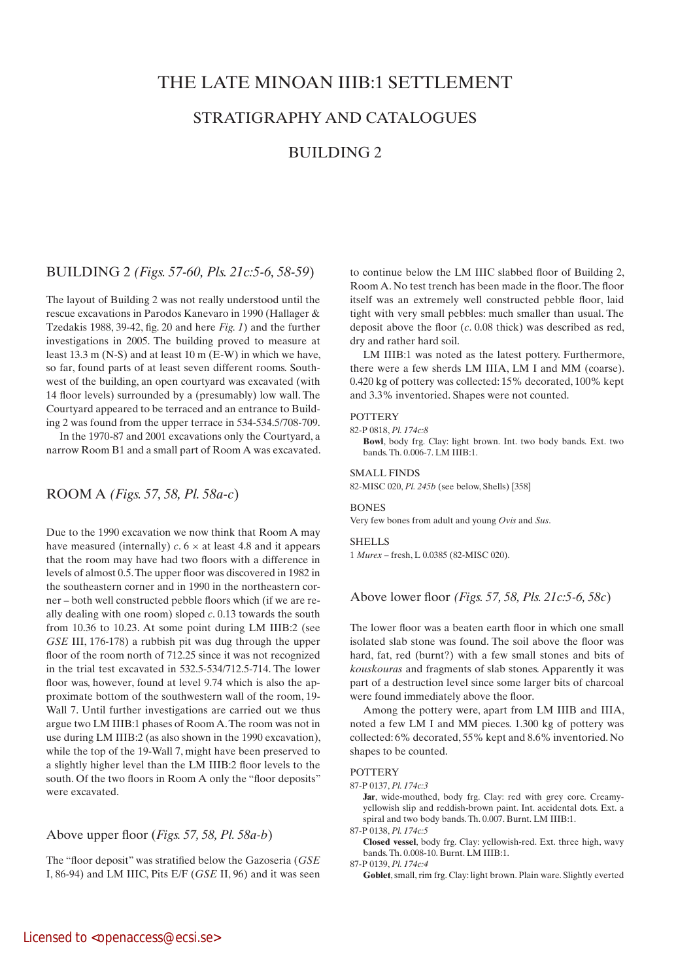# THE LATE MINOAN IIIB:1 SETTLEMENT

# STRATIGRAPHY AND CATALOGUES

# BUILDING 2

# BUILDING 2 *(Figs. 57-60, Pls. 21c:5-6, 58-59*)

The layout of Building 2 was not really understood until the rescue excavations in Parodos Kanevaro in 1990 (Hallager & Tzedakis 1988, 39-42, fig. 20 and here *Fig. 1*) and the further investigations in 2005. The building proved to measure at least 13.3 m (N-S) and at least 10 m (E-W) in which we have, so far, found parts of at least seven different rooms. Southwest of the building, an open courtyard was excavated (with 14 floor levels) surrounded by a (presumably) low wall. The Courtyard appeared to be terraced and an entrance to Building 2 was found from the upper terrace in 534-534.5/708-709.

In the 1970-87 and 2001 excavations only the Courtyard, a narrow Room B1 and a small part of Room A was excavated.

# ROOM A *(Figs. 57, 58, Pl. 58a-c*)

Due to the 1990 excavation we now think that Room A may have measured (internally)  $c$ .  $6 \times$  at least 4.8 and it appears that the room may have had two floors with a difference in levels of almost 0.5. The upper floor was discovered in 1982 in the southeastern corner and in 1990 in the northeastern corner – both well constructed pebble floors which (if we are really dealing with one room) sloped *c*. 0.13 towards the south from 10.36 to 10.23. At some point during LM IIIB:2 (see *GSE* III, 176-178) a rubbish pit was dug through the upper floor of the room north of 712.25 since it was not recognized in the trial test excavated in 532.5-534/712.5-714. The lower floor was, however, found at level 9.74 which is also the approximate bottom of the southwestern wall of the room, 19- Wall 7. Until further investigations are carried out we thus argue two LM IIIB:1 phases of Room A. The room was not in use during LM IIIB:2 (as also shown in the 1990 excavation), while the top of the 19-Wall 7, might have been preserved to a slightly higher level than the LM IIIB:2 floor levels to the south. Of the two floors in Room A only the "floor deposits" were excavated.

# Above upper floor (*Figs. 57, 58, Pl. 58a-b*)

The "floor deposit" was stratified below the Gazoseria (*GSE* I, 86-94) and LM IIIC, Pits E/F (*GSE* II, 96) and it was seen to continue below the LM IIIC slabbed floor of Building 2, Room A. No test trench has been made in the floor. The floor itself was an extremely well constructed pebble floor, laid tight with very small pebbles: much smaller than usual. The deposit above the floor (*c*. 0.08 thick) was described as red, dry and rather hard soil.

LM IIIB:1 was noted as the latest pottery. Furthermore, there were a few sherds LM IIIA, LM I and MM (coarse). 0.420 kg of pottery was collected: 15% decorated, 100% kept and 3.3% inventoried. Shapes were not counted.

### **POTTERY**

82-P 0818, *Pl. 174c:8* **Bowl**, body frg. Clay: light brown. Int. two body bands. Ext. two bands. Th. 0.006-7. LM IIIB:1.

#### SMALL FINDS

82-MISC 020, *Pl. 245b* (see below, Shells) [358]

#### **BONES**

Very few bones from adult and young *Ovis* and *Sus*.

#### **SHELLS**

1 *Murex* – fresh, L 0.0385 (82-MISC 020).

Above lower floor *(Figs. 57, 58, Pls. 21c:5-6, 58c*)

The lower floor was a beaten earth floor in which one small isolated slab stone was found. The soil above the floor was hard, fat, red (burnt?) with a few small stones and bits of *kouskouras* and fragments of slab stones. Apparently it was part of a destruction level since some larger bits of charcoal were found immediately above the floor.

Among the pottery were, apart from LM IIIB and IIIA, noted a few LM I and MM pieces. 1.300 kg of pottery was collected: 6% decorated, 55% kept and 8.6% inventoried. No shapes to be counted.

## **POTTERY**

87-P 0137, *Pl. 174c:3*

Jar, wide-mouthed, body frg. Clay: red with grey core. Creamyyellowish slip and reddish-brown paint. Int. accidental dots. Ext. a spiral and two body bands. Th. 0.007. Burnt. LM IIIB:1.

87-P 0138, *Pl. 174c:5*

 **Closed vessel**, body frg. Clay: yellowish-red. Ext. three high, wavy bands. Th. 0.008-10. Burnt. LM IIIB:1.

87-P 0139, *Pl. 174c:4*

Goblet, small, rim frg. Clay: light brown. Plain ware. Slightly everted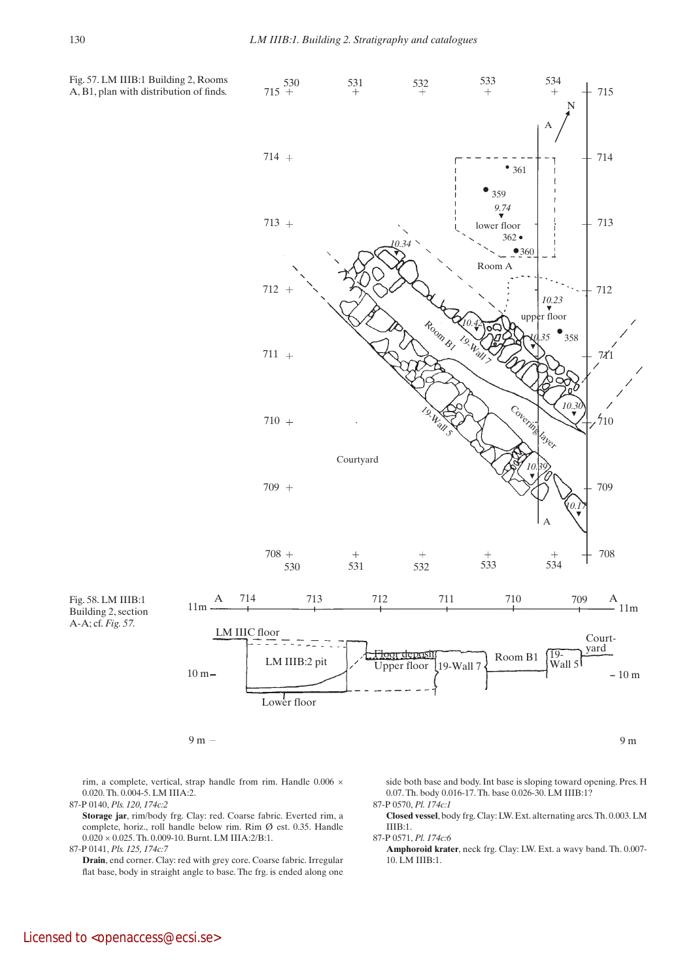

A, B1, plan with distribution of finds.

rim, a complete, vertical, strap handle from rim. Handle 0.006 × 0.020. Th. 0.004-5. LM IIIA:2.

87-P 0140, *Pls. 120, 174c:2*

 **Storage jar**, rim/body frg. Clay: red. Coarse fabric. Everted rim, a complete, horiz., roll handle below rim. Rim Ø est. 0.35. Handle  $0.020 \times 0.025$ . Th. 0.009-10. Burnt. LM IIIA:2/B:1.

87-P 0141, *Pls. 125, 174c:7*

 **Drain**, end corner. Clay: red with grey core. Coarse fabric. Irregular flat base, body in straight angle to base. The frg. is ended along one

side both base and body. Int base is sloping toward opening. Pres. H 0.07. Th. body 0.016-17. Th. base 0.026-30. LM IIIB:1? 87-P 0570, *Pl. 174c:1*

 **Closed vessel**, body frg. Clay: LW. Ext. alternating arcs. Th. 0.003. LM IIIB:1.

87-P 0571, *Pl. 174c:6*

 **Amphoroid krater**, neck frg. Clay: LW. Ext. a wavy band. Th. 0.007- 10. LM IIIB:1.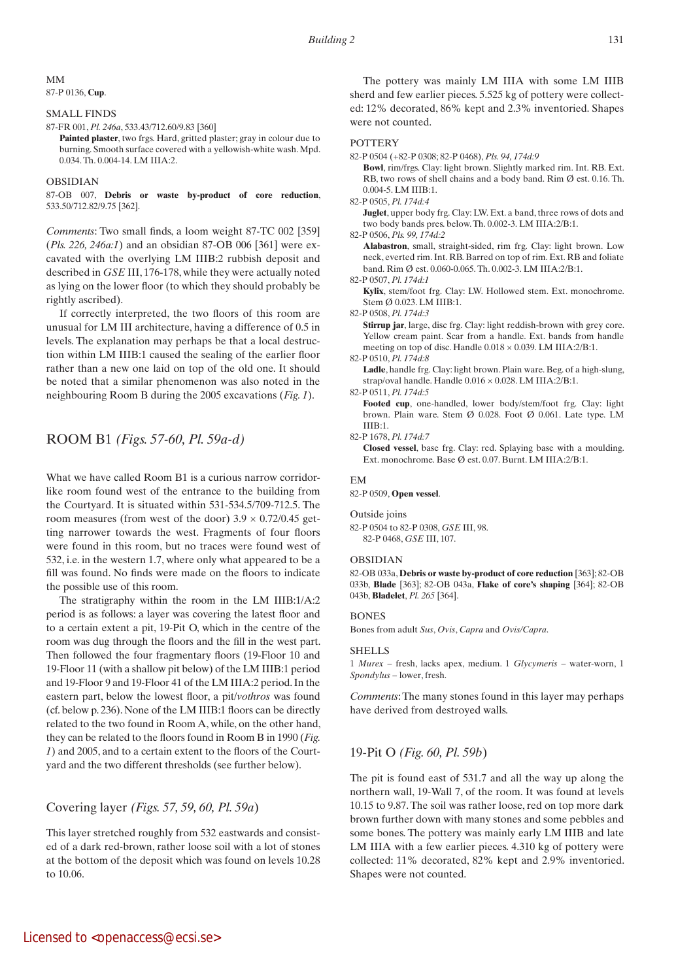### MM 87-P 0136, **Cup**.

### SMALL FINDS

87-FR 001, *Pl. 246a*, 533.43/712.60/9.83 [360]

**Painted plaster**, two frgs. Hard, gritted plaster; gray in colour due to burning. Smooth surface covered with a yellowish-white wash. Mpd. 0.034. Th. 0.004-14. LM IIIA:2.

#### OBSIDIAN

87-OB 007, **Debris or waste by-product of core reduction**, 533.50/712.82/9.75 [362].

*Comments*: Two small finds, a loom weight 87-TC 002 [359] (*Pls. 226, 246a:1*) and an obsidian 87-OB 006 [361] were excavated with the overlying LM IIIB:2 rubbish deposit and described in *GSE* III, 176-178, while they were actually noted as lying on the lower floor (to which they should probably be rightly ascribed).

If correctly interpreted, the two floors of this room are unusual for LM III architecture, having a difference of 0.5 in levels. The explanation may perhaps be that a local destruction within LM IIIB:1 caused the sealing of the earlier floor rather than a new one laid on top of the old one. It should be noted that a similar phenomenon was also noted in the neighbouring Room B during the 2005 excavations (*Fig. 1*).

# ROOM B1 *(Figs. 57-60, Pl. 59a-d)*

What we have called Room B1 is a curious narrow corridorlike room found west of the entrance to the building from the Courtyard. It is situated within 531-534.5/709-712.5. The room measures (from west of the door)  $3.9 \times 0.72/0.45$  getting narrower towards the west. Fragments of four floors were found in this room, but no traces were found west of 532, i.e. in the western 1.7, where only what appeared to be a fill was found. No finds were made on the floors to indicate the possible use of this room.

The stratigraphy within the room in the LM IIIB:1/A:2 period is as follows: a layer was covering the latest floor and to a certain extent a pit, 19-Pit O, which in the centre of the room was dug through the floors and the fill in the west part. Then followed the four fragmentary floors (19-Floor 10 and 19-Floor 11 (with a shallow pit below) of the LM IIIB:1 period and 19-Floor 9 and 19-Floor 41 of the LM IIIA:2 period. In the eastern part, below the lowest floor, a pit/*vothros* was found (cf. below p. 236). None of the LM IIIB:1 floors can be directly related to the two found in Room A, while, on the other hand, they can be related to the floors found in Room B in 1990 (*Fig. 1*) and 2005, and to a certain extent to the floors of the Courtyard and the two different thresholds (see further below).

# Covering layer *(Figs. 57, 59, 60, Pl. 59a*)

This layer stretched roughly from 532 eastwards and consisted of a dark red-brown, rather loose soil with a lot of stones at the bottom of the deposit which was found on levels 10.28 to 10.06.

The pottery was mainly LM IIIA with some LM IIIB sherd and few earlier pieces. 5.525 kg of pottery were collected: 12% decorated, 86% kept and 2.3% inventoried. Shapes were not counted.

### **POTTERY**

82-P 0504 (+82-P 0308; 82-P 0468), *Pls. 94, 174d:9*

 **Bowl**, rim/frgs. Clay: light brown. Slightly marked rim. Int. RB. Ext. RB, two rows of shell chains and a body band. Rim Ø est. 0.16. Th. 0.004-5. LM IIIB:1. 82-P 0505, *Pl. 174d:4*

**Juglet**, upper body frg. Clay: LW. Ext. a band, three rows of dots and two body bands pres. below. Th. 0.002-3. LM IIIA:2/B:1.

82-P 0506, *Pls. 99, 174d:2*

 **Alabastron**, small, straight-sided, rim frg. Clay: light brown. Low neck, everted rim. Int. RB. Barred on top of rim. Ext. RB and foliate band. Rim Ø est. 0.060-0.065. Th. 0.002-3. LM IIIA:2/B:1.

82-P 0507, *Pl. 174d:1*

**Kylix**, stem/foot frg. Clay: LW. Hollowed stem. Ext. monochrome. Stem Ø 0.023. LM IIIB:1.

82-P 0508, *Pl. 174d:3*

 **Stirrup jar**, large, disc frg. Clay: light reddish-brown with grey core. Yellow cream paint. Scar from a handle. Ext. bands from handle meeting on top of disc. Handle 0.018 × 0.039. LM IIIA:2/B:1.

82-P 0510, *Pl. 174d:8*

Ladle, handle frg. Clay: light brown. Plain ware. Beg. of a high-slung, strap/oval handle. Handle 0.016 × 0.028. LM IIIA:2/B:1.

82-P 0511, *Pl. 174d:5*

 **Footed cup**, one-handled, lower body/stem/foot frg. Clay: light brown. Plain ware. Stem Ø 0.028. Foot Ø 0.061. Late type. LM IIIB:1.

82-P 1678, *Pl. 174d:7*

 **Closed vessel**, base frg. Clay: red. Splaying base with a moulding. Ext. monochrome. Base Ø est. 0.07. Burnt. LM IIIA:2/B:1.

### EM

82-P 0509, **Open vessel**.

### Outside joins

82-P 0504 to 82-P 0308, *GSE* III, 98. 82-P 0468, *GSE* III, 107.

#### OBSIDIAN

82-OB 033a, **Debris or waste by-product of core reduction** [363]; 82-OB 033b, **Blade** [363]; 82-OB 043a, **Flake of core's shaping** [364]; 82-OB 043b, **Bladelet**, *Pl. 265* [364].

### **BONES**

Bones from adult *Sus*, *Ovis*, *Capra* and *Ovis/Capra*.

### **SHELLS**

1 *Murex* – fresh, lacks apex, medium. 1 *Glycymeris* – water-worn, 1 *Spondylus* – lower, fresh.

*Comments*: The many stones found in this layer may perhaps have derived from destroyed walls.

# 19-Pit O *(Fig. 60, Pl. 59b*)

The pit is found east of 531.7 and all the way up along the northern wall, 19-Wall 7, of the room. It was found at levels 10.15 to 9.87. The soil was rather loose, red on top more dark brown further down with many stones and some pebbles and some bones. The pottery was mainly early LM IIIB and late LM IIIA with a few earlier pieces. 4.310 kg of pottery were collected: 11% decorated, 82% kept and 2.9% inventoried. Shapes were not counted.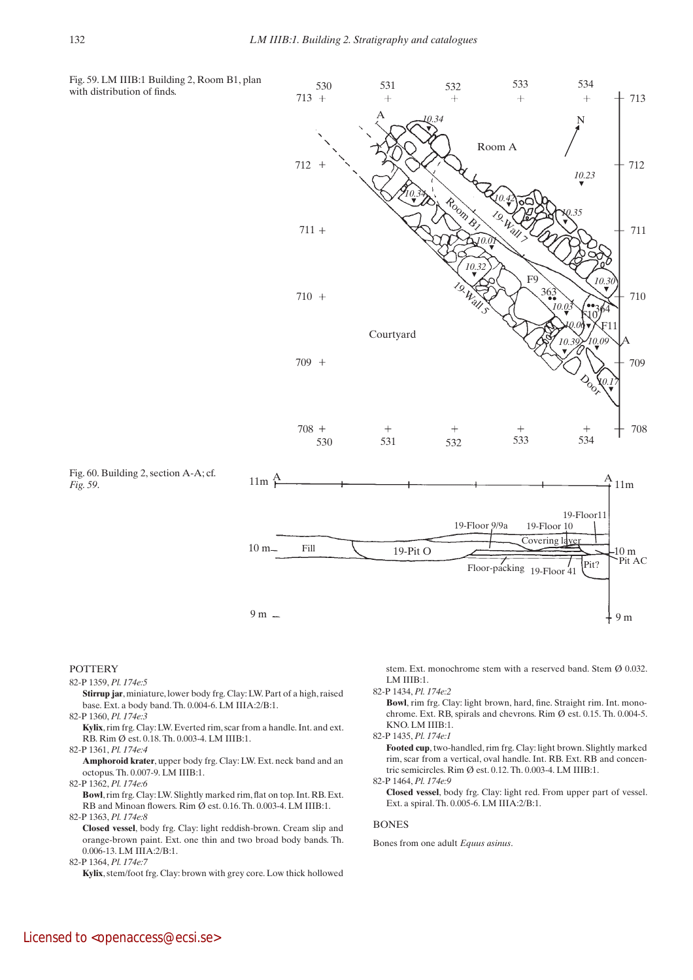

### POTTERY

82-P 1359, *Pl. 174e:5*

 **Stirrup jar**, miniature, lower body frg. Clay: LW. Part of a high, raised base. Ext. a body band. Th. 0.004-6. LM IIIA:2/B:1.

- 82-P 1360, *Pl. 174e:3*
- **Kylix**, rim frg. Clay: LW. Everted rim, scar from a handle. Int. and ext. RB. Rim Ø est. 0.18. Th. 0.003-4. LM IIIB:1.

82-P 1361, *Pl. 174e:4*

 **Amphoroid krater**, upper body frg. Clay: LW. Ext. neck band and an octopus. Th. 0.007-9. LM IIIB:1.

82-P 1362, *Pl. 174e:6*

 **Bowl**, rim frg. Clay: LW. Slightly marked rim, flat on top. Int. RB. Ext. RB and Minoan flowers. Rim Ø est. 0.16. Th. 0.003-4. LM IIIB:1. 82-P 1363, *Pl. 174e:8*

 **Closed vessel**, body frg. Clay: light reddish-brown. Cream slip and orange-brown paint. Ext. one thin and two broad body bands. Th. 0.006-13. LM IIIA:2/B:1.

82-P 1364, *Pl. 174e:7*

 **Kylix**, stem/foot frg. Clay: brown with grey core. Low thick hollowed

stem. Ext. monochrome stem with a reserved band. Stem Ø 0.032. LM IIIB:1.

82-P 1434, *Pl. 174e:2*

 **Bowl**, rim frg. Clay: light brown, hard, fine. Straight rim. Int. monochrome. Ext. RB, spirals and chevrons. Rim Ø est. 0.15. Th. 0.004-5. KNO. LM IIIB:1.

82-P 1435, *Pl. 174e:1*

 **Footed cup**, two-handled, rim frg. Clay: light brown. Slightly marked rim, scar from a vertical, oval handle. Int. RB. Ext. RB and concentric semicircles. Rim Ø est. 0.12. Th. 0.003-4. LM IIIB:1.

82-P 1464, *Pl. 174e:9*

 **Closed vessel**, body frg. Clay: light red. From upper part of vessel. Ext. a spiral. Th. 0.005-6. LM IIIA:2/B:1.

#### **BONES**

Bones from one adult *Equus asinus*.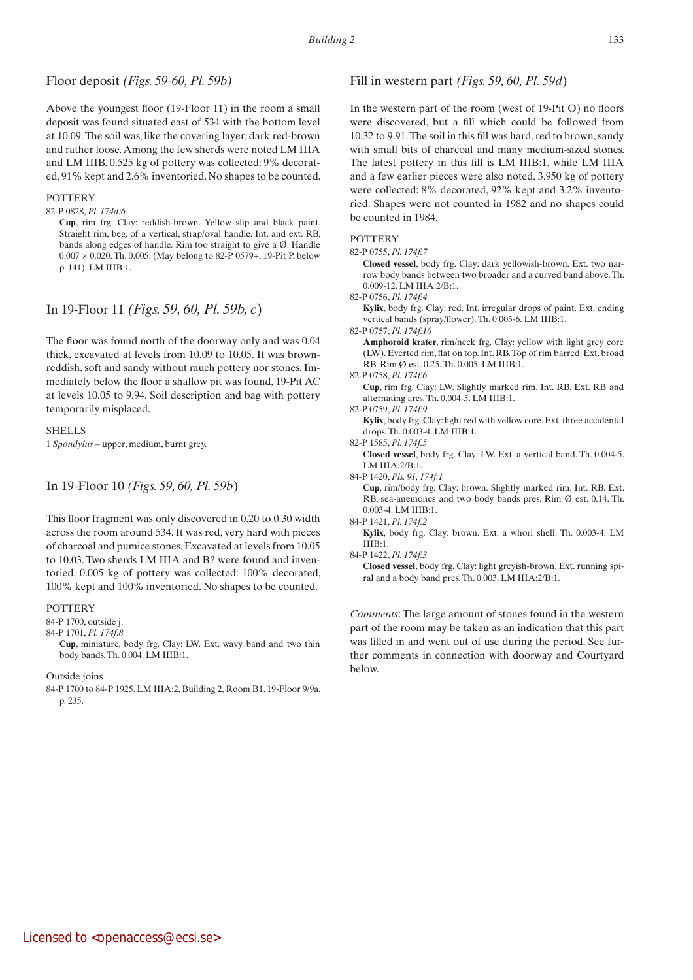# Floor deposit *(Figs. 59-60, Pl. 59b)*

Above the youngest floor (19-Floor 11) in the room a small deposit was found situated east of 534 with the bottom level at 10.09. The soil was, like the covering layer, dark red-brown and rather loose. Among the few sherds were noted LM IIIA and LM IIIB. 0.525 kg of pottery was collected: 9% decorated, 91% kept and 2.6% inventoried. No shapes to be counted.

## **POTTERY**

82-P 0828, *Pl. 174d:6*

 **Cup**, rim frg. Clay: reddish-brown. Yellow slip and black paint. Straight rim, beg. of a vertical, strap/oval handle. Int. and ext. RB, bands along edges of handle. Rim too straight to give a Ø. Handle  $0.007 \times 0.020$ . Th. 0.005. (May belong to 82-P 0579+, 19-Pit P, below p. 141). LM IIIB:1.

# In 19-Floor 11 *(Figs. 59, 60, Pl. 59b, c*)

The floor was found north of the doorway only and was 0.04 thick, excavated at levels from 10.09 to 10.05. It was brownreddish, soft and sandy without much pottery nor stones. Immediately below the floor a shallow pit was found, 19-Pit AC at levels 10.05 to 9.94. Soil description and bag with pottery temporarily misplaced.

### **SHELLS**

1 *Spondylus* – upper, medium, burnt grey.

# In 19-Floor 10 *(Figs. 59, 60, Pl. 59b*)

This floor fragment was only discovered in 0.20 to 0.30 width across the room around 534. It was red, very hard with pieces of charcoal and pumice stones. Excavated at levels from 10.05 to 10.03. Two sherds LM IIIA and B? were found and inventoried. 0.005 kg of pottery was collected: 100% decorated, 100% kept and 100% inventoried. No shapes to be counted.

### POTTERY

84-P 1700, outside j.

## 84-P 1701, *Pl. 174f:8*

 **Cup**, miniature, body frg. Clay: LW. Ext. wavy band and two thin body bands. Th. 0.004. LM IIIB:1.

### Outside joins

84-P 1700 to 84-P 1925, LM IIIA:2, Building 2, Room B1, 19-Floor 9/9a, p. 235.

# Fill in western part *(Figs. 59, 60, Pl. 59d*)

In the western part of the room (west of 19-Pit O) no floors were discovered, but a fill which could be followed from 10.32 to 9.91. The soil in this fill was hard, red to brown, sandy with small bits of charcoal and many medium-sized stones. The latest pottery in this fill is LM IIIB:1, while LM IIIA and a few earlier pieces were also noted. 3.950 kg of pottery were collected: 8% decorated, 92% kept and 3.2% inventoried. Shapes were not counted in 1982 and no shapes could be counted in 1984.

# **POTTERY**

82-P 0755, *Pl. 174f:7*

 **Closed vessel**, body frg. Clay: dark yellowish-brown. Ext. two narrow body bands between two broader and a curved band above. Th. 0.009-12. LM IIIA:2/B:1.

82-P 0756, *Pl. 174f:4*

 **Kylix**, body frg. Clay: red. Int. irregular drops of paint. Ext. ending vertical bands (spray/flower). Th. 0.005-6. LM IIIB:1.

82-P 0757, *Pl. 174f:10*

 **Amphoroid krater**, rim/neck frg. Clay: yellow with light grey core (LW). Everted rim, flat on top. Int. RB. Top of rim barred. Ext. broad RB. Rim Ø est. 0.25. Th. 0.005. LM IIIB:1.

|  | 82-P 0758, <i>Pl. 174f:6</i> |
|--|------------------------------|
|  |                              |

 **Cup**, rim frg. Clay: LW. Slightly marked rim. Int. RB. Ext. RB and alternating arcs. Th. 0.004-5. LM IIIB:1.

82-P 0759, *Pl. 174f:9*

 **Kylix**, body frg. Clay: light red with yellow core. Ext. three accidental drops. Th. 0.003-4. LM IIIB:1.

82-P 1585, *Pl. 174f:5*

 **Closed vessel**, body frg. Clay: LW. Ext. a vertical band. Th. 0.004-5. LM IIIA:2/B:1.

84-P 1420, *Pls. 91, 174f:1*

 **Cup**, rim/body frg. Clay: brown. Slightly marked rim. Int. RB. Ext. RB, sea-anemones and two body bands pres. Rim Ø est. 0.14. Th. 0.003-4. LM IIIB:1.

84-P 1421, *Pl. 174f:2*

 **Kylix**, body frg. Clay: brown. Ext. a whorl shell. Th. 0.003-4. LM IIIB:1.

84-P 1422, *Pl. 174f:3*

*Comments*: The large amount of stones found in the western part of the room may be taken as an indication that this part was filled in and went out of use during the period. See further comments in connection with doorway and Courtyard below.

**Closed vessel**, body frg. Clay: light greyish-brown. Ext. running spiral and a body band pres. Th. 0.003. LM IIIA:2/B:1.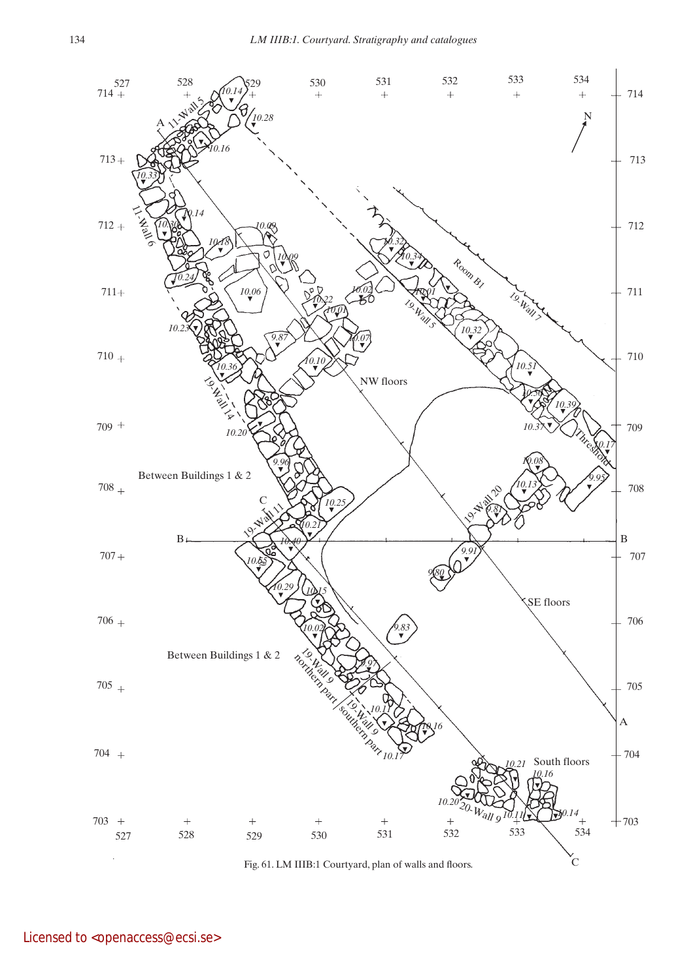